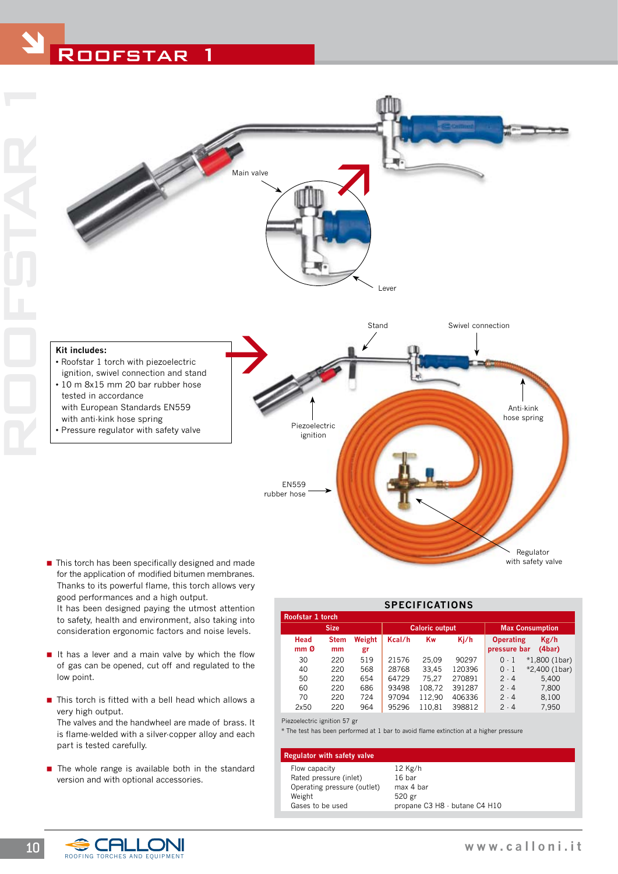# ROOFSTAR



## **Kit includes:**

- Roofstar 1 torch with piezoelectric ignition, swivel connection and stand • 10 m 8x15 mm 20 bar rubber hose
- tested in accordance with European Standards EN559 with anti-kink hose spring
- Pressure regulator with safety valve



with safety valve

■ This torch has been specifically designed and made for the application of modified bitumen membranes. Thanks to its powerful flame, this torch allows very good performances and a high output. It has been designed paying the utmost attention

to safety, health and environment, also taking into consideration ergonomic factors and noise levels.

- It has a lever and a main valve by which the flow of gas can be opened, cut off and regulated to the low point.
- $\blacksquare$  This torch is fitted with a bell head which allows a very high output. The valves and the handwheel are made of brass. It is flame-welded with a silver-copper alloy and each part is tested carefully.
- $\blacksquare$  The whole range is available both in the standard version and with optional accessories.

| <b>SPECIFICATIONS</b>   |                   |              |                       |        |        |                                  |                 |  |  |
|-------------------------|-------------------|--------------|-----------------------|--------|--------|----------------------------------|-----------------|--|--|
| Roofstar 1 torch        |                   |              |                       |        |        |                                  |                 |  |  |
| <b>Size</b>             |                   |              | <b>Caloric output</b> |        |        | <b>Max Consumption</b>           |                 |  |  |
| Head<br>mm <sub>0</sub> | <b>Stem</b><br>mm | Weight<br>gr | Kcal/h                | Kw     | Ki/h   | <b>Operating</b><br>pressure bar | Kg/h<br>(4bar)  |  |  |
| 30                      | 220               | 519          | 21576                 | 25.09  | 90297  | $0-1$                            | $*1,800$ (1bar) |  |  |
| 40                      | 220               | 568          | 28768                 | 33.45  | 120396 | $0-1$                            | *2,400 (1bar)   |  |  |
| 50                      | 220               | 654          | 64729                 | 75.27  | 270891 | $2 \cdot 4$                      | 5,400           |  |  |
| 60                      | 220               | 686          | 93498                 | 108,72 | 391287 | 2.4                              | 7.800           |  |  |
| 70                      | 220               | 724          | 97094                 | 112.90 | 406336 | 2.4                              | 8,100           |  |  |
| 2x50                    | 220               | 964          | 95296                 | 110.81 | 398812 | $2 \cdot 4$                      | 7,950           |  |  |

Piezoelectric ignition 57 gr

\* The test has been performed at 1 bar to avoid flame extinction at a higher pressure

## **Regulator with safety valve**

Flow capacity 12 Kg/h Rated pressure (inlet) 16 bar Operating pressure (outlet) max 4 bar<br>Weight 520 gr Weight Gases to be used propane C3 H8 - butane C4 H10